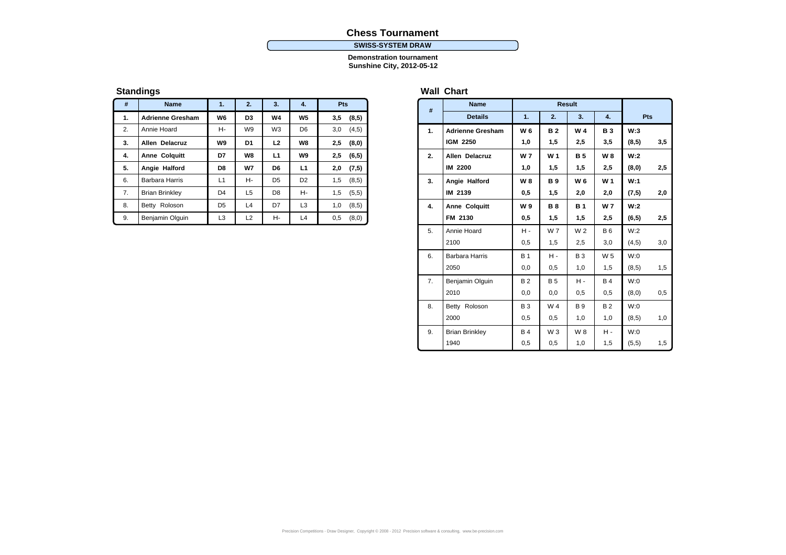# **Chess Tournament**

#### **SWISS-SYSTEM DRAW**

**Demonstration tournament Sunshine City, 2012-05-12**

# **Standings**

| #  | <b>Name</b>             | 1.             | 2.             | 3.             | 4.             | <b>Pts</b>    |
|----|-------------------------|----------------|----------------|----------------|----------------|---------------|
| 1. | <b>Adrienne Gresham</b> | W6             | D <sub>3</sub> | W4             | W <sub>5</sub> | 3,5<br>(8,5)  |
| 2. | Annie Hoard             | н-             | W <sub>9</sub> | W <sub>3</sub> | D <sub>6</sub> | 3,0<br>(4,5)  |
| 3. | <b>Allen Delacruz</b>   | W9             | D1             | L2             | W8             | 2,5<br>(8,0)  |
| 4. | <b>Anne Colquitt</b>    | D7             | W8             | L1             | W9             | 2,5<br>(6, 5) |
| 5. | Angie Halford           | D8             | W7             | D6             | L1             | 2,0<br>(7, 5) |
| 6. | Barbara Harris          | L1             | н-             | D <sub>5</sub> | D <sub>2</sub> | 1,5<br>(8, 5) |
| 7. | <b>Brian Brinkley</b>   | D <sub>4</sub> | L5             | D <sub>8</sub> | н-             | 1,5<br>(5,5)  |
| 8. | Betty Roloson           | D <sub>5</sub> | L4             | D7             | L3             | (8,5)<br>1,0  |
| 9. | Benjamin Olguin         | L <sub>3</sub> | L2             | н-             | L4             | 0,5<br>(8,0)  |

# **Wall Chart**

| #  | <b>Name</b>             |                | <b>Result</b>  |                |                |        |     |
|----|-------------------------|----------------|----------------|----------------|----------------|--------|-----|
|    | <b>Details</b>          | 1.             | 2.             | 3.             | $\mathbf{4}$   | Pts    |     |
| 1. | <b>Adrienne Gresham</b> | W 6            | <b>B2</b>      | W <sub>4</sub> | <b>B</b> 3     | W:3    |     |
|    | <b>IGM 2250</b>         | 1,0            | 1,5            | 2,5            | 3,5            | (8, 5) | 3,5 |
| 2. | Allen Delacruz          | W <sub>7</sub> | W <sub>1</sub> | <b>B5</b>      | W <sub>8</sub> | W:2    |     |
|    | IM 2200                 | 1,0            | 1,5            | 1,5            | 2,5            | (8, 0) | 2,5 |
| 3. | Angie Halford           | W 8            | <b>B</b> 9     | W 6            | W <sub>1</sub> | W:1    |     |
|    | IM 2139                 | 0,5            | 1,5            | 2,0            | 2,0            | (7, 5) | 2,0 |
| 4. | <b>Anne Colquitt</b>    | W9             | <b>B8</b>      | <b>B</b> 1     | <b>W7</b>      | W:2    |     |
|    | FM 2130                 | 0,5            | 1,5            | 1,5            | 2,5            | (6, 5) | 2,5 |
| 5. | Annie Hoard             | н.             | W 7            | W <sub>2</sub> | <b>B6</b>      | W:2    |     |
|    | 2100                    | 0,5            | 1,5            | 2,5            | 3,0            | (4, 5) | 3,0 |
| 6. | <b>Barbara Harris</b>   | <b>B</b> 1     | н.             | <b>B3</b>      | W <sub>5</sub> | W:0    |     |
|    | 2050                    | 0,0            | 0,5            | 1,0            | 1,5            | (8, 5) | 1,5 |
| 7. | Benjamin Olguin         | B <sub>2</sub> | <b>B5</b>      | н.             | <b>B4</b>      | W:0    |     |
|    | 2010                    | 0,0            | 0,0            | 0,5            | 0,5            | (8,0)  | 0,5 |
| 8. | Betty Roloson           | <b>B3</b>      | W <sub>4</sub> | <b>B</b> 9     | B <sub>2</sub> | W:0    |     |
|    | 2000                    | 0,5            | 0,5            | 1,0            | 1,0            | (8, 5) | 1,0 |
| 9. | <b>Brian Brinkley</b>   | <b>B4</b>      | $W_3$          | W 8            | н.             | W:0    |     |
|    | 1940                    | 0,5            | 0,5            | 1,0            | 1,5            | (5,5)  | 1,5 |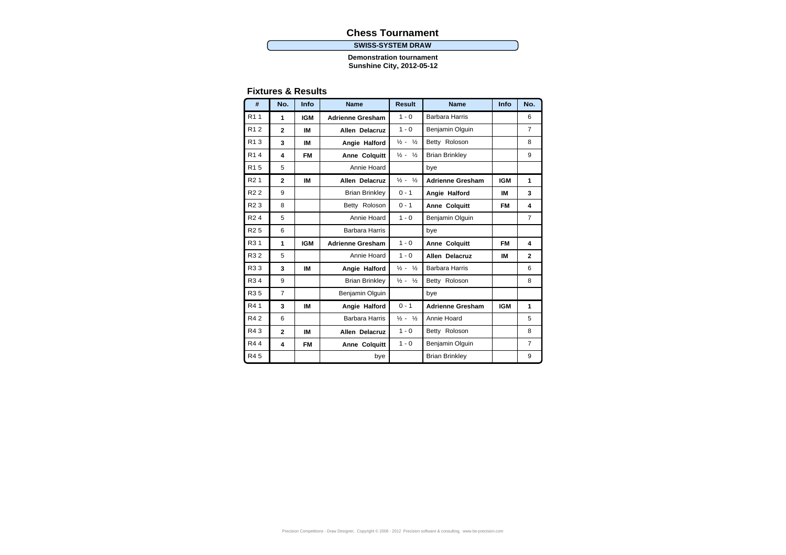# **Chess Tournament**

#### **SWISS-SYSTEM DRAW**

**Demonstration tournament Sunshine City, 2012-05-12**

### **Fixtures & Results**

| #                | No.            | Info       | <b>Name</b>             | <b>Result</b>                                     | <b>Name</b>             | Info       | No.            |
|------------------|----------------|------------|-------------------------|---------------------------------------------------|-------------------------|------------|----------------|
| R <sub>1</sub> 1 | 1              | <b>IGM</b> | <b>Adrienne Gresham</b> | $1 - 0$                                           | Barbara Harris          |            | 6              |
| R <sub>12</sub>  | $\mathbf{2}$   | IM         | Allen Delacruz          | $1 - 0$                                           | Benjamin Olguin         |            | $\overline{7}$ |
| R <sub>1</sub> 3 | 3              | IM         | Angie Halford           | Betty Roloson<br>$\frac{1}{2}$ -<br>$\frac{1}{2}$ |                         |            | 8              |
| R <sub>1</sub> 4 | 4              | <b>FM</b>  | Anne Colquitt           | $\frac{1}{2} - \frac{1}{2}$                       | <b>Brian Brinkley</b>   |            | 9              |
| R <sub>15</sub>  | 5              |            | Annie Hoard             |                                                   | bye                     |            |                |
| R <sub>2</sub> 1 | $\mathbf{2}$   | IM         | Allen Delacruz          | $\frac{1}{2} - \frac{1}{2}$                       | <b>Adrienne Gresham</b> | <b>IGM</b> | 1              |
| R <sub>2</sub> 2 | 9              |            | <b>Brian Brinkley</b>   | $0 - 1$                                           | Angie Halford           | IM         | 3              |
| R <sub>2</sub> 3 | 8              |            | Betty Roloson           | $0 - 1$                                           | Anne Colquitt           | FM         | 4              |
| R <sub>24</sub>  | 5              |            | Annie Hoard             | $1 - 0$                                           | Benjamin Olguin         |            | $\overline{7}$ |
| R <sub>25</sub>  | 6              |            | Barbara Harris          |                                                   | bye                     |            |                |
| R <sub>3</sub> 1 | 1              | <b>IGM</b> | <b>Adrienne Gresham</b> | $1 - 0$                                           | Anne Colquitt           | FM         | 4              |
| R32              | 5              |            | Annie Hoard             | $1 - 0$                                           | Allen Delacruz          | IM         | $\mathbf{2}$   |
| R33              | 3              | IM         | Angie Halford           | $\frac{1}{2} - \frac{1}{2}$                       | Barbara Harris          |            | 6              |
| R <sub>3</sub> 4 | 9              |            | <b>Brian Brinkley</b>   | $\frac{1}{2}$ -<br>$\frac{1}{2}$                  | Betty Roloson           |            | 8              |
| R <sub>35</sub>  | $\overline{7}$ |            | Benjamin Olguin         |                                                   | bye                     |            |                |
| R41              | 3              | IM         | Angie Halford           | $0 - 1$                                           | <b>Adrienne Gresham</b> | <b>IGM</b> | 1              |
| <b>R42</b>       | 6              |            | Barbara Harris          | $\frac{1}{2} - \frac{1}{2}$                       | Annie Hoard             |            | 5              |
| R43              | $\mathbf{2}$   | IM         | Allen Delacruz          | $1 - 0$                                           | Betty Roloson           |            | 8              |
| R44              | 4              | <b>FM</b>  | Anne Colquitt           | $1 - 0$                                           | Benjamin Olguin         |            | $\overline{7}$ |
| R45              |                |            | bye                     |                                                   | <b>Brian Brinkley</b>   |            | 9              |